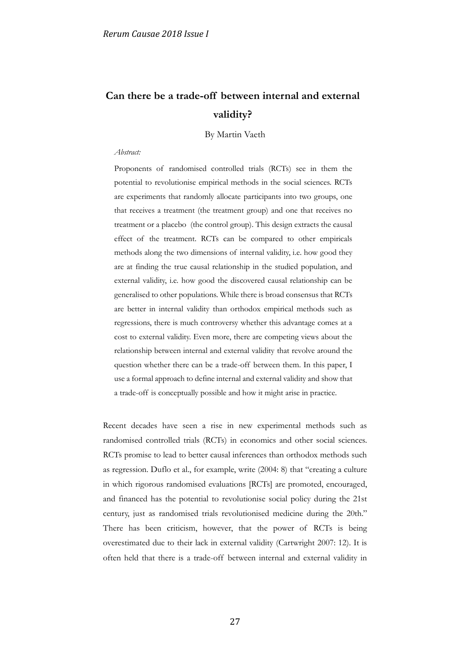# **Can there be a trade-off between internal and external validity?**

By Martin Vaeth

#### *Abstract:*

Proponents of randomised controlled trials (RCTs) see in them the potential to revolutionise empirical methods in the social sciences. RCTs are experiments that randomly allocate participants into two groups, one that receives a treatment (the treatment group) and one that receives no treatment or a placebo (the control group). This design extracts the causal effect of the treatment. RCTs can be compared to other empiricals methods along the two dimensions of internal validity, i.e. how good they are at finding the true causal relationship in the studied population, and external validity, i.e. how good the discovered causal relationship can be generalised to other populations. While there is broad consensus that RCTs are better in internal validity than orthodox empirical methods such as regressions, there is much controversy whether this advantage comes at a cost to external validity. Even more, there are competing views about the relationship between internal and external validity that revolve around the question whether there can be a trade-off between them. In this paper, I use a formal approach to define internal and external validity and show that a trade-off is conceptually possible and how it might arise in practice.

Recent decades have seen a rise in new experimental methods such as randomised controlled trials (RCTs) in economics and other social sciences. RCTs promise to lead to better causal inferences than orthodox methods such as regression. Duflo et al., for example, write (2004: 8) that "creating a culture in which rigorous randomised evaluations [RCTs] are promoted, encouraged, and financed has the potential to revolutionise social policy during the 21st century, just as randomised trials revolutionised medicine during the 20th." There has been criticism, however, that the power of RCTs is being overestimated due to their lack in external validity (Cartwright 2007: 12). It is often held that there is a trade-off between internal and external validity in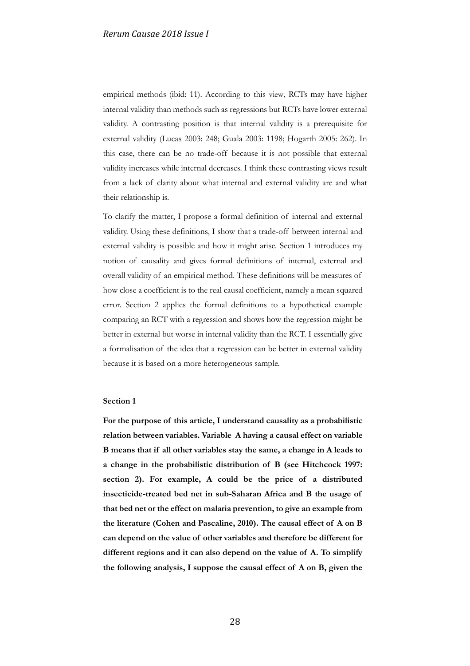empirical methods (ibid: 11). According to this view, RCTs may have higher internal validity than methods such as regressions but RCTs have lower external validity. A contrasting position is that internal validity is a prerequisite for external validity (Lucas 2003: 248; Guala 2003: 1198; Hogarth 2005: 262). In this case, there can be no trade-off because it is not possible that external validity increases while internal decreases. I think these contrasting views result from a lack of clarity about what internal and external validity are and what their relationship is.

To clarify the matter, I propose a formal definition of internal and external validity. Using these definitions, I show that a trade-off between internal and external validity is possible and how it might arise. Section 1 introduces my notion of causality and gives formal definitions of internal, external and overall validity of an empirical method. These definitions will be measures of how close a coefficient is to the real causal coefficient, namely a mean squared error. Section 2 applies the formal definitions to a hypothetical example comparing an RCT with a regression and shows how the regression might be better in external but worse in internal validity than the RCT. I essentially give a formalisation of the idea that a regression can be better in external validity because it is based on a more heterogeneous sample.

# **Section 1**

**For the purpose of this article, I understand causality as a probabilistic relation between variables. Variable A having a causal effect on variable B means that if all other variables stay the same, a change in A leads to a change in the probabilistic distribution of B (see Hitchcock 1997: section 2). For example, A could be the price of a distributed insecticide-treated bed net in sub-Saharan Africa and B the usage of that bed net or the effect on malaria prevention, to give an example from the literature (Cohen and Pascaline, 2010). The causal effect of A on B can depend on the value of other variables and therefore be different for different regions and it can also depend on the value of A. To simplify the following analysis, I suppose the causal effect of A on B, given the**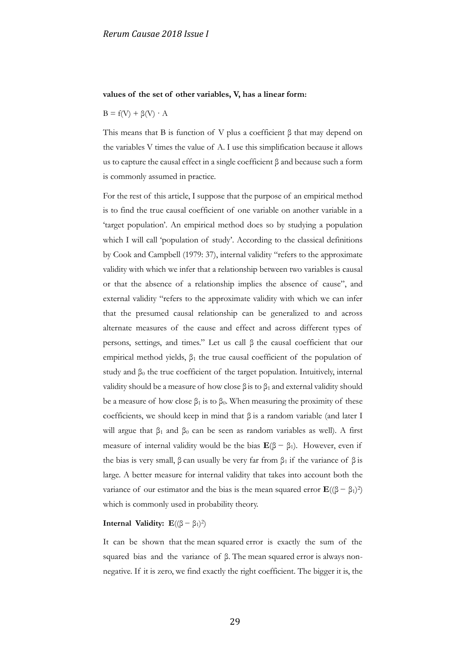#### **values of the set of other variables, V, has a linear form:**

## $B = f(V) + \beta(V) \cdot A$

This means that B is function of V plus a coefficient  $\beta$  that may depend on the variables V times the value of A. I use this simplification because it allows us to capture the causal effect in a single coefficient  $\beta$  and because such a form is commonly assumed in practice.

For the rest of this article, I suppose that the purpose of an empirical method is to find the true causal coefficient of one variable on another variable in a 'target population'. An empirical method does so by studying a population which I will call 'population of study'. According to the classical definitions by Cook and Campbell (1979: 37), internal validity "refers to the approximate validity with which we infer that a relationship between two variables is causal or that the absence of a relationship implies the absence of cause", and external validity "refers to the approximate validity with which we can infer that the presumed causal relationship can be generalized to and across alternate measures of the cause and effect and across different types of persons, settings, and times." Let us call β the causal coefficient that our empirical method yields,  $β_1$  the true causal coefficient of the population of study and  $\beta_0$  the true coefficient of the target population. Intuitively, internal validity should be a measure of how close  $\beta$  is to  $\beta_1$  and external validity should be a measure of how close  $\beta_1$  is to  $\beta_0$ . When measuring the proximity of these coefficients, we should keep in mind that  $\beta$  is a random variable (and later I will argue that  $β_1$  and  $β_0$  can be seen as random variables as well). A first measure of internal validity would be the bias  $\mathbf{E}(\beta - \beta_1)$ . However, even if the bias is very small, β can usually be very far from  $β_1$  if the variance of  $β$  is large. A better measure for internal validity that takes into account both the variance of our estimator and the bias is the mean squared error  $\mathbf{E}((β - β<sub>1</sub>)<sup>2</sup>)$ which is commonly used in probability theory.

#### **Internal Validity:**  $\mathbf{E}((\beta - \beta_1)^2)$

It can be shown that the mean squared error is exactly the sum of the squared bias and the variance of β. The mean squared error is always nonnegative. If it is zero, we find exactly the right coefficient. The bigger it is, the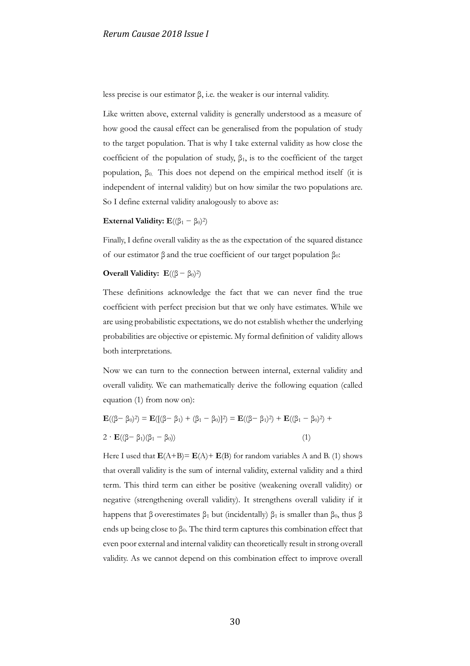less precise is our estimator β, i.e. the weaker is our internal validity.

Like written above, external validity is generally understood as a measure of how good the causal effect can be generalised from the population of study to the target population. That is why I take external validity as how close the coefficient of the population of study,  $\beta_1$ , is to the coefficient of the target population,  $β<sub>0</sub>$ . This does not depend on the empirical method itself (it is independent of internal validity) but on how similar the two populations are. So I define external validity analogously to above as:

## **External Validity:**  $\mathbf{E}((\beta_1 - \beta_0)^2)$

Finally, I define overall validity as the as the expectation of the squared distance of our estimator β and the true coefficient of our target population  $β_0$ :

## **Overall Validity:**  $\mathbf{E}((\beta - \beta_0)^2)$

These definitions acknowledge the fact that we can never find the true coefficient with perfect precision but that we only have estimates. While we are using probabilistic expectations, we do not establish whether the underlying probabilities are objective or epistemic. My formal definition of validity allows both interpretations.

Now we can turn to the connection between internal, external validity and overall validity. We can mathematically derive the following equation (called equation (1) from now on):

$$
\mathbf{E}((\beta - \beta_0)^2) = \mathbf{E}([(\beta - \beta_1) + (\beta_1 - \beta_0)]^2) = \mathbf{E}((\beta - \beta_1)^2) + \mathbf{E}((\beta_1 - \beta_0)^2) + 2 \cdot \mathbf{E}((\beta - \beta_1)(\beta_1 - \beta_0))
$$
\n(1)

Here I used that  $E(A+B) = E(A) + E(B)$  for random variables A and B. (1) shows that overall validity is the sum of internal validity, external validity and a third term. This third term can either be positive (weakening overall validity) or negative (strengthening overall validity). It strengthens overall validity if it happens that β overestimates  $β_1$  but (incidentally)  $β_1$  is smaller than  $β_0$ , thus  $β$ ends up being close to  $\beta_0$ . The third term captures this combination effect that even poor external and internal validity can theoretically result in strong overall validity. As we cannot depend on this combination effect to improve overall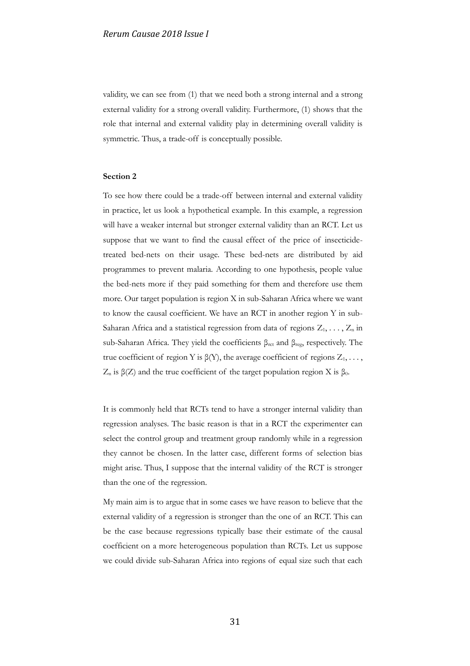validity, we can see from (1) that we need both a strong internal and a strong external validity for a strong overall validity. Furthermore, (1) shows that the role that internal and external validity play in determining overall validity is symmetric. Thus, a trade-off is conceptually possible.

# **Section 2**

To see how there could be a trade-off between internal and external validity in practice, let us look a hypothetical example. In this example, a regression will have a weaker internal but stronger external validity than an RCT. Let us suppose that we want to find the causal effect of the price of insecticidetreated bed-nets on their usage. These bed-nets are distributed by aid programmes to prevent malaria. According to one hypothesis, people value the bed-nets more if they paid something for them and therefore use them more. Our target population is region X in sub-Saharan Africa where we want to know the causal coefficient. We have an RCT in another region Y in sub-Saharan Africa and a statistical regression from data of regions  $Z_1, \ldots, Z_n$  in sub-Saharan Africa. They yield the coefficients  $β_{\text{rct}}$  and  $β_{\text{reg}}$ , respectively. The true coefficient of region Y is  $\beta(Y)$ , the average coefficient of regions  $Z_1, \ldots, Z_n$  $Z_n$  is β(Z) and the true coefficient of the target population region X is β<sub>0</sub>.

It is commonly held that RCTs tend to have a stronger internal validity than regression analyses. The basic reason is that in a RCT the experimenter can select the control group and treatment group randomly while in a regression they cannot be chosen. In the latter case, different forms of selection bias might arise. Thus, I suppose that the internal validity of the RCT is stronger than the one of the regression.

My main aim is to argue that in some cases we have reason to believe that the external validity of a regression is stronger than the one of an RCT. This can be the case because regressions typically base their estimate of the causal coefficient on a more heterogeneous population than RCTs. Let us suppose we could divide sub-Saharan Africa into regions of equal size such that each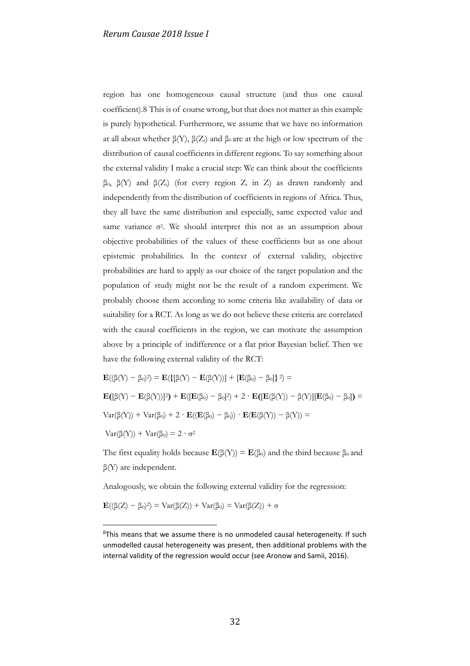region has one homogeneous causal structure (and thus one causal coefficient).8 This is of course wrong, but that does not matter as this example is purely hypothetical. Furthermore, we assume that we have no information at all about whether  $\beta(Y)$ ,  $\beta(Z_i)$  and  $\beta_0$  are at the high or low spectrum of the distribution of causal coefficients in different regions. To say something about the external validity I make a crucial step: We can think about the coefficients β0, β(Y) and β(Zi) (for every region Z<sup>i</sup> in Z) as drawn randomly and independently from the distribution of coefficients in regions of Africa. Thus, they all have the same distribution and especially, same expected value and same variance  $\sigma^2$ . We should interpret this not as an assumption about objective probabilities of the values of these coefficients but as one about epistemic probabilities. In the context of external validity, objective probabilities are hard to apply as our choice of the target population and the population of study might not be the result of a random experiment. We probably choose them according to some criteria like availability of data or suitability for a RCT. As long as we do not believe these criteria are correlated with the causal coefficients in the region, we can motivate the assumption above by a principle of indifference or a flat prior Bayesian belief. Then we have the following external validity of the RCT:

$$
\mathbf{E}((\beta(Y) - \beta_0)^2) = \mathbf{E}(\{[\beta(Y) - \mathbf{E}(\beta(Y))] + [\mathbf{E}(\beta_0) - \beta_0]\}^2) =
$$
\n
$$
\mathbf{E}([\beta(Y) - \mathbf{E}(\beta(Y))]^2) + \mathbf{E}([\mathbf{E}(\beta_0) - \beta_0]^2) + 2 \cdot \mathbf{E}([\mathbf{E}(\beta(Y)) - \beta(Y)][\mathbf{E}(\beta_0) - \beta_0]) =
$$
\n
$$
\text{Var}(\beta(Y)) + \text{Var}(\beta_0) + 2 \cdot \mathbf{E}((\mathbf{E}(\beta_0) - \beta_0)) \cdot \mathbf{E}(\mathbf{E}(\beta(Y)) - \beta(Y)) =
$$
\n
$$
\text{Var}(\beta(Y)) + \text{Var}(\beta_0) = 2 \cdot \sigma^2
$$

The first equality holds because  $\mathbf{E}(\beta(Y)) = \mathbf{E}(\beta_0)$  and the third because  $\beta_0$  and β(Y) are independent.

Analogously, we obtain the following external validity for the regression:

$$
\mathbf{E}((\beta(Z)-\beta_0)^2) = \text{Var}(\beta(Z)) + \text{Var}(\beta_0) = \text{Var}(\beta(Z)) + \sigma
$$

<u>.</u>

 $8$ This means that we assume there is no unmodeled causal heterogeneity. If such unmodelled causal heterogeneity was present, then additional problems with the internal validity of the regression would occur (see Aronow and Samii, 2016).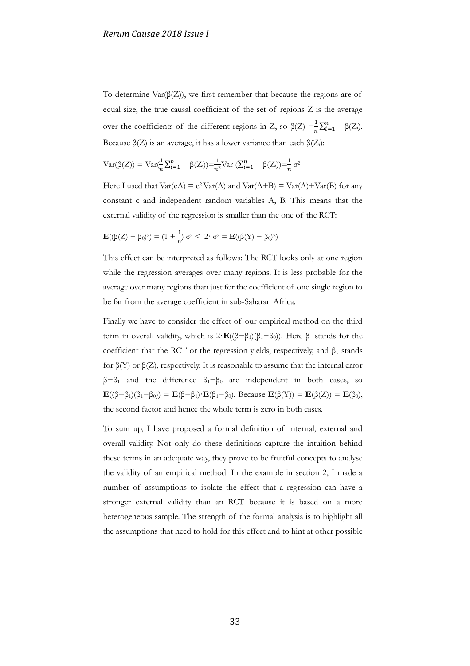To determine  $\text{Var}(\beta(Z))$ , we first remember that because the regions are of equal size, the true causal coefficient of the set of regions Z is the average over the coefficients of the different regions in Z, so  $\beta(Z) = \frac{1}{n} \sum_{i=1}^{n} \beta_i$  $\beta(Z_i)$ . Because  $\beta(Z)$  is an average, it has a lower variance than each  $\beta(Z_i)$ :

$$
Var(\beta(Z)) = Var(\frac{1}{n}\sum_{i=1}^{n} \beta(Z_i)) = \frac{1}{n^2}Var(\sum_{i=1}^{n} \beta(Z_i)) = \frac{1}{n}\sigma^2
$$

Here I used that  $Var(cA) = c^2 Var(A)$  and  $Var(A+B) = Var(A) + Var(B)$  for any constant c and independent random variables A, B. This means that the external validity of the regression is smaller than the one of the RCT:

$$
\mathbf{E}((\beta(Z) - \beta_0)^2) = (1 + \frac{1}{n}) \sigma^2 < 2 \cdot \sigma^2 = \mathbf{E}((\beta(Y) - \beta_0)^2)
$$

This effect can be interpreted as follows: The RCT looks only at one region while the regression averages over many regions. It is less probable for the average over many regions than just for the coefficient of one single region to be far from the average coefficient in sub-Saharan Africa.

Finally we have to consider the effect of our empirical method on the third term in overall validity, which is  $2 \cdot \mathbf{E}((\beta - \beta_1)(\beta_1 - \beta_0))$ . Here β stands for the coefficient that the RCT or the regression yields, respectively, and  $\beta_1$  stands for β(Y) or β(Z), respectively. It is reasonable to assume that the internal error  $β-β<sub>1</sub>$  and the difference  $β<sub>1</sub> - β<sub>0</sub>$  are independent in both cases, so **E**(( $\beta - \beta_1$ )( $\beta_1 - \beta_0$ )) = **E**( $\beta - \beta_1$ )·**E**( $\beta_1 - \beta_0$ ). Because **E**( $\beta$ (Y)) = **E**( $\beta$ (Z)) = **E**( $\beta_0$ ), the second factor and hence the whole term is zero in both cases.

To sum up, I have proposed a formal definition of internal, external and overall validity. Not only do these definitions capture the intuition behind these terms in an adequate way, they prove to be fruitful concepts to analyse the validity of an empirical method. In the example in section 2, I made a number of assumptions to isolate the effect that a regression can have a stronger external validity than an RCT because it is based on a more heterogeneous sample. The strength of the formal analysis is to highlight all the assumptions that need to hold for this effect and to hint at other possible